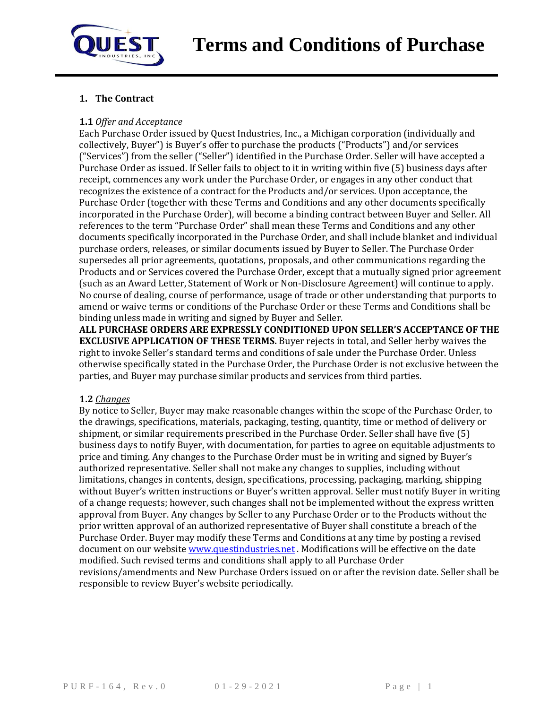

# **1. The Contract**

#### **1.1** *Offer and Acceptance*

Each Purchase Order issued by Quest Industries, Inc., a Michigan corporation (individually and collectively, Buyer") is Buyer's offer to purchase the products ("Products") and/or services ("Services") from the seller ("Seller") identified in the Purchase Order. Seller will have accepted a Purchase Order as issued. If Seller fails to object to it in writing within five (5) business days after receipt, commences any work under the Purchase Order, or engages in any other conduct that recognizes the existence of a contract for the Products and/or services. Upon acceptance, the Purchase Order (together with these Terms and Conditions and any other documents specifically incorporated in the Purchase Order), will become a binding contract between Buyer and Seller. All references to the term "Purchase Order" shall mean these Terms and Conditions and any other documents specifically incorporated in the Purchase Order, and shall include blanket and individual purchase orders, releases, or similar documents issued by Buyer to Seller. The Purchase Order supersedes all prior agreements, quotations, proposals, and other communications regarding the Products and or Services covered the Purchase Order, except that a mutually signed prior agreement (such as an Award Letter, Statement of Work or Non-Disclosure Agreement) will continue to apply. No course of dealing, course of performance, usage of trade or other understanding that purports to amend or waive terms or conditions of the Purchase Order or these Terms and Conditions shall be binding unless made in writing and signed by Buyer and Seller.

**ALL PURCHASE ORDERS ARE EXPRESSLY CONDITIONED UPON SELLER'S ACCEPTANCE OF THE EXCLUSIVE APPLICATION OF THESE TERMS.** Buyer rejects in total, and Seller herby waives the right to invoke Seller's standard terms and conditions of sale under the Purchase Order. Unless otherwise specifically stated in the Purchase Order, the Purchase Order is not exclusive between the parties, and Buyer may purchase similar products and services from third parties.

## **1.2** *Changes*

By notice to Seller, Buyer may make reasonable changes within the scope of the Purchase Order, to the drawings, specifications, materials, packaging, testing, quantity, time or method of delivery or shipment, or similar requirements prescribed in the Purchase Order. Seller shall have five (5) business days to notify Buyer, with documentation, for parties to agree on equitable adjustments to price and timing. Any changes to the Purchase Order must be in writing and signed by Buyer's authorized representative. Seller shall not make any changes to supplies, including without limitations, changes in contents, design, specifications, processing, packaging, marking, shipping without Buyer's written instructions or Buyer's written approval. Seller must notify Buyer in writing of a change requests; however, such changes shall not be implemented without the express written approval from Buyer. Any changes by Seller to any Purchase Order or to the Products without the prior written approval of an authorized representative of Buyer shall constitute a breach of the Purchase Order. Buyer may modify these Terms and Conditions at any time by posting a revised document on our websit[e www.questindustries.net](http://www.questindustries.net/). Modifications will be effective on the date modified. Such revised terms and conditions shall apply to all Purchase Order revisions/amendments and New Purchase Orders issued on or after the revision date. Seller shall be responsible to review Buyer's website periodically.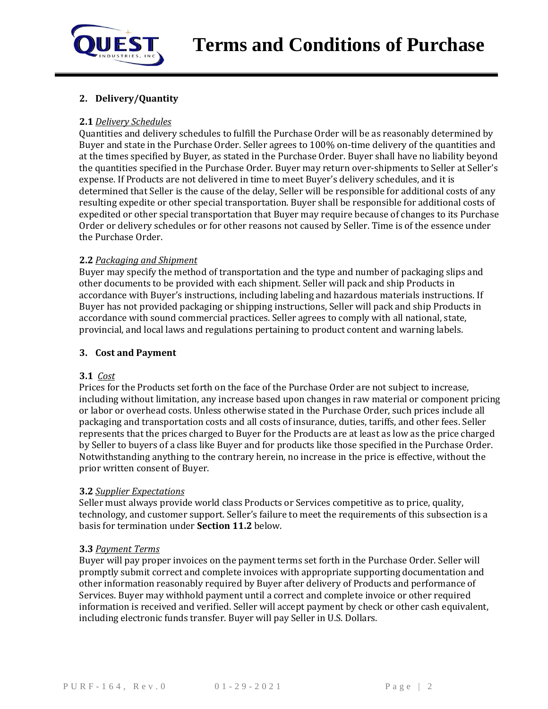

# **2. Delivery/Quantity**

#### **2.1** *Delivery Schedules*

Quantities and delivery schedules to fulfill the Purchase Order will be as reasonably determined by Buyer and state in the Purchase Order. Seller agrees to 100% on-time delivery of the quantities and at the times specified by Buyer, as stated in the Purchase Order. Buyer shall have no liability beyond the quantities specified in the Purchase Order. Buyer may return over-shipments to Seller at Seller's expense. If Products are not delivered in time to meet Buyer's delivery schedules, and it is determined that Seller is the cause of the delay, Seller will be responsible for additional costs of any resulting expedite or other special transportation. Buyer shall be responsible for additional costs of expedited or other special transportation that Buyer may require because of changes to its Purchase Order or delivery schedules or for other reasons not caused by Seller. Time is of the essence under the Purchase Order.

#### **2.2** *Packaging and Shipment*

Buyer may specify the method of transportation and the type and number of packaging slips and other documents to be provided with each shipment. Seller will pack and ship Products in accordance with Buyer's instructions, including labeling and hazardous materials instructions. If Buyer has not provided packaging or shipping instructions, Seller will pack and ship Products in accordance with sound commercial practices. Seller agrees to comply with all national, state, provincial, and local laws and regulations pertaining to product content and warning labels.

#### **3. Cost and Payment**

#### **3.1** *Cost*

Prices for the Products set forth on the face of the Purchase Order are not subject to increase, including without limitation, any increase based upon changes in raw material or component pricing or labor or overhead costs. Unless otherwise stated in the Purchase Order, such prices include all packaging and transportation costs and all costs of insurance, duties, tariffs, and other fees. Seller represents that the prices charged to Buyer for the Products are at least as low as the price charged by Seller to buyers of a class like Buyer and for products like those specified in the Purchase Order. Notwithstanding anything to the contrary herein, no increase in the price is effective, without the prior written consent of Buyer.

#### **3.2** *Supplier Expectations*

Seller must always provide world class Products or Services competitive as to price, quality, technology, and customer support. Seller's failure to meet the requirements of this subsection is a basis for termination under **Section 11.2** below.

#### **3.3** *Payment Terms*

Buyer will pay proper invoices on the payment terms set forth in the Purchase Order. Seller will promptly submit correct and complete invoices with appropriate supporting documentation and other information reasonably required by Buyer after delivery of Products and performance of Services. Buyer may withhold payment until a correct and complete invoice or other required information is received and verified. Seller will accept payment by check or other cash equivalent, including electronic funds transfer. Buyer will pay Seller in U.S. Dollars.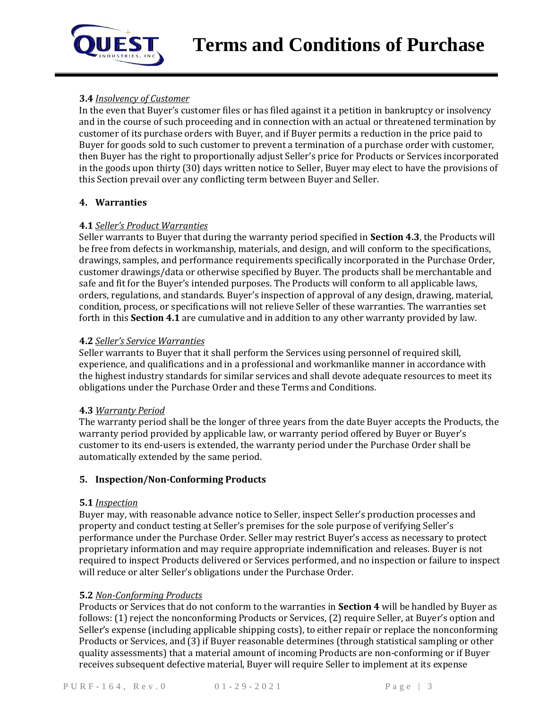

# **3.4** *Insolvency of Customer*

In the even that Buyer's customer files or has filed against it a petition in bankruptcy or insolvency and in the course of such proceeding and in connection with an actual or threatened termination by customer of its purchase orders with Buyer, and if Buyer permits a reduction in the price paid to Buyer for goods sold to such customer to prevent a termination of a purchase order with customer, then Buyer has the right to proportionally adjust Seller's price for Products or Services incorporated in the goods upon thirty (30) days written notice to Seller, Buyer may elect to have the provisions of this Section prevail over any conflicting term between Buyer and Seller.

## **4. Warranties**

## **4.1** *Seller's Product Warranties*

Seller warrants to Buyer that during the warranty period specified in **Section 4.3**, the Products will be free from defects in workmanship, materials, and design, and will conform to the specifications, drawings, samples, and performance requirements specifically incorporated in the Purchase Order, customer drawings/data or otherwise specified by Buyer. The products shall be merchantable and safe and fit for the Buyer's intended purposes. The Products will conform to all applicable laws, orders, regulations, and standards. Buyer's inspection of approval of any design, drawing, material, condition, process, or specifications will not relieve Seller of these warranties. The warranties set forth in this **Section 4.1** are cumulative and in addition to any other warranty provided by law.

## **4.2** *Seller's Service Warranties*

Seller warrants to Buyer that it shall perform the Services using personnel of required skill, experience, and qualifications and in a professional and workmanlike manner in accordance with the highest industry standards for similar services and shall devote adequate resources to meet its obligations under the Purchase Order and these Terms and Conditions.

## **4.3** *Warranty Period*

The warranty period shall be the longer of three years from the date Buyer accepts the Products, the warranty period provided by applicable law, or warranty period offered by Buyer or Buyer's customer to its end-users is extended, the warranty period under the Purchase Order shall be automatically extended by the same period.

## **5. Inspection/Non-Conforming Products**

## **5.1** *Inspection*

Buyer may, with reasonable advance notice to Seller, inspect Seller's production processes and property and conduct testing at Seller's premises for the sole purpose of verifying Seller's performance under the Purchase Order. Seller may restrict Buyer's access as necessary to protect proprietary information and may require appropriate indemnification and releases. Buyer is not required to inspect Products delivered or Services performed, and no inspection or failure to inspect will reduce or alter Seller's obligations under the Purchase Order.

## **5.2** *Non-Conforming Products*

Products or Services that do not conform to the warranties in **Section 4** will be handled by Buyer as follows: (1) reject the nonconforming Products or Services, (2) require Seller, at Buyer's option and Seller's expense (including applicable shipping costs), to either repair or replace the nonconforming Products or Services, and (3) if Buyer reasonable determines (through statistical sampling or other quality assessments) that a material amount of incoming Products are non-conforming or if Buyer receives subsequent defective material, Buyer will require Seller to implement at its expense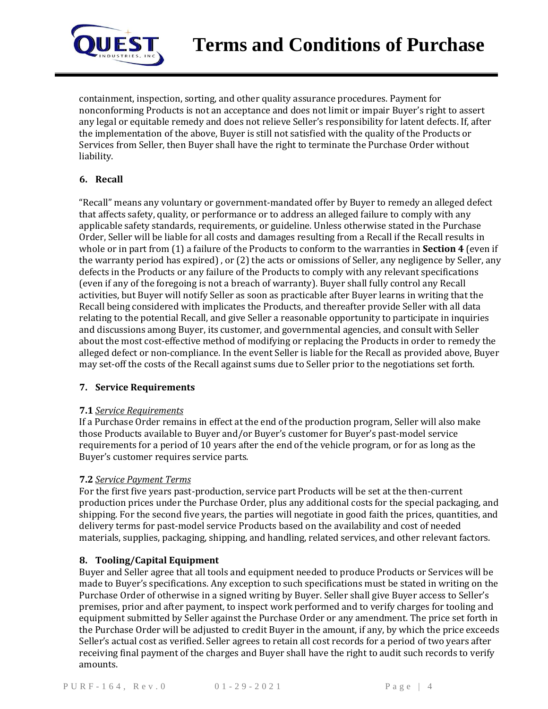

containment, inspection, sorting, and other quality assurance procedures. Payment for nonconforming Products is not an acceptance and does not limit or impair Buyer's right to assert any legal or equitable remedy and does not relieve Seller's responsibility for latent defects. If, after the implementation of the above, Buyer is still not satisfied with the quality of the Products or Services from Seller, then Buyer shall have the right to terminate the Purchase Order without liability.

# **6. Recall**

"Recall" means any voluntary or government-mandated offer by Buyer to remedy an alleged defect that affects safety, quality, or performance or to address an alleged failure to comply with any applicable safety standards, requirements, or guideline. Unless otherwise stated in the Purchase Order, Seller will be liable for all costs and damages resulting from a Recall if the Recall results in whole or in part from (1) a failure of the Products to conform to the warranties in **Section 4** (even if the warranty period has expired) , or (2) the acts or omissions of Seller, any negligence by Seller, any defects in the Products or any failure of the Products to comply with any relevant specifications (even if any of the foregoing is not a breach of warranty). Buyer shall fully control any Recall activities, but Buyer will notify Seller as soon as practicable after Buyer learns in writing that the Recall being considered with implicates the Products, and thereafter provide Seller with all data relating to the potential Recall, and give Seller a reasonable opportunity to participate in inquiries and discussions among Buyer, its customer, and governmental agencies, and consult with Seller about the most cost-effective method of modifying or replacing the Products in order to remedy the alleged defect or non-compliance. In the event Seller is liable for the Recall as provided above, Buyer may set-off the costs of the Recall against sums due to Seller prior to the negotiations set forth.

## **7. Service Requirements**

## **7.1** *Service Requirements*

If a Purchase Order remains in effect at the end of the production program, Seller will also make those Products available to Buyer and/or Buyer's customer for Buyer's past-model service requirements for a period of 10 years after the end of the vehicle program, or for as long as the Buyer's customer requires service parts.

## **7.2** *Service Payment Terms*

For the first five years past-production, service part Products will be set at the then-current production prices under the Purchase Order, plus any additional costs for the special packaging, and shipping. For the second five years, the parties will negotiate in good faith the prices, quantities, and delivery terms for past-model service Products based on the availability and cost of needed materials, supplies, packaging, shipping, and handling, related services, and other relevant factors.

## **8. Tooling/Capital Equipment**

Buyer and Seller agree that all tools and equipment needed to produce Products or Services will be made to Buyer's specifications. Any exception to such specifications must be stated in writing on the Purchase Order of otherwise in a signed writing by Buyer. Seller shall give Buyer access to Seller's premises, prior and after payment, to inspect work performed and to verify charges for tooling and equipment submitted by Seller against the Purchase Order or any amendment. The price set forth in the Purchase Order will be adjusted to credit Buyer in the amount, if any, by which the price exceeds Seller's actual cost as verified. Seller agrees to retain all cost records for a period of two years after receiving final payment of the charges and Buyer shall have the right to audit such records to verify amounts.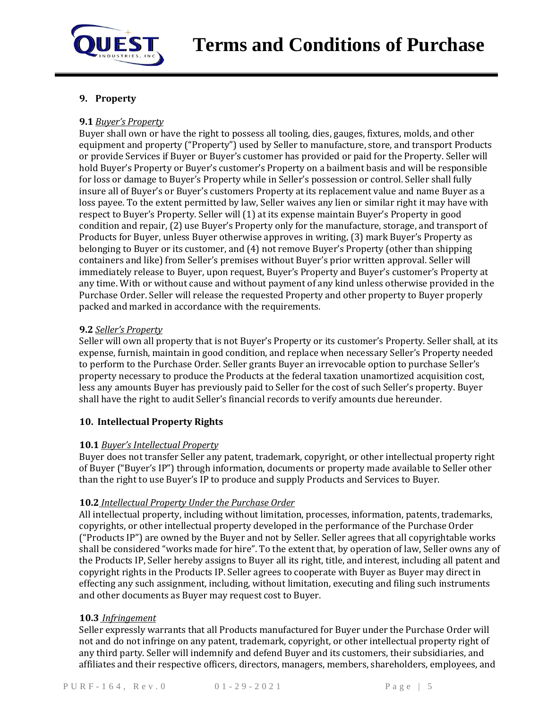

# **9. Property**

# **9.1** *Buyer's Property*

Buyer shall own or have the right to possess all tooling, dies, gauges, fixtures, molds, and other equipment and property ("Property") used by Seller to manufacture, store, and transport Products or provide Services if Buyer or Buyer's customer has provided or paid for the Property. Seller will hold Buyer's Property or Buyer's customer's Property on a bailment basis and will be responsible for loss or damage to Buyer's Property while in Seller's possession or control. Seller shall fully insure all of Buyer's or Buyer's customers Property at its replacement value and name Buyer as a loss payee. To the extent permitted by law, Seller waives any lien or similar right it may have with respect to Buyer's Property. Seller will (1) at its expense maintain Buyer's Property in good condition and repair, (2) use Buyer's Property only for the manufacture, storage, and transport of Products for Buyer, unless Buyer otherwise approves in writing, (3) mark Buyer's Property as belonging to Buyer or its customer, and (4) not remove Buyer's Property (other than shipping containers and like) from Seller's premises without Buyer's prior written approval. Seller will immediately release to Buyer, upon request, Buyer's Property and Buyer's customer's Property at any time. With or without cause and without payment of any kind unless otherwise provided in the Purchase Order. Seller will release the requested Property and other property to Buyer properly packed and marked in accordance with the requirements.

## **9.2** *Seller's Property*

Seller will own all property that is not Buyer's Property or its customer's Property. Seller shall, at its expense, furnish, maintain in good condition, and replace when necessary Seller's Property needed to perform to the Purchase Order. Seller grants Buyer an irrevocable option to purchase Seller's property necessary to produce the Products at the federal taxation unamortized acquisition cost, less any amounts Buyer has previously paid to Seller for the cost of such Seller's property. Buyer shall have the right to audit Seller's financial records to verify amounts due hereunder.

## **10. Intellectual Property Rights**

## **10.1** *Buyer's Intellectual Property*

Buyer does not transfer Seller any patent, trademark, copyright, or other intellectual property right of Buyer ("Buyer's IP") through information, documents or property made available to Seller other than the right to use Buyer's IP to produce and supply Products and Services to Buyer.

## **10.2** *Intellectual Property Under the Purchase Order*

All intellectual property, including without limitation, processes, information, patents, trademarks, copyrights, or other intellectual property developed in the performance of the Purchase Order ("Products IP") are owned by the Buyer and not by Seller. Seller agrees that all copyrightable works shall be considered "works made for hire". To the extent that, by operation of law, Seller owns any of the Products IP, Seller hereby assigns to Buyer all its right, title, and interest, including all patent and copyright rights in the Products IP. Seller agrees to cooperate with Buyer as Buyer may direct in effecting any such assignment, including, without limitation, executing and filing such instruments and other documents as Buyer may request cost to Buyer.

#### **10.3** *Infringement*

Seller expressly warrants that all Products manufactured for Buyer under the Purchase Order will not and do not infringe on any patent, trademark, copyright, or other intellectual property right of any third party. Seller will indemnify and defend Buyer and its customers, their subsidiaries, and affiliates and their respective officers, directors, managers, members, shareholders, employees, and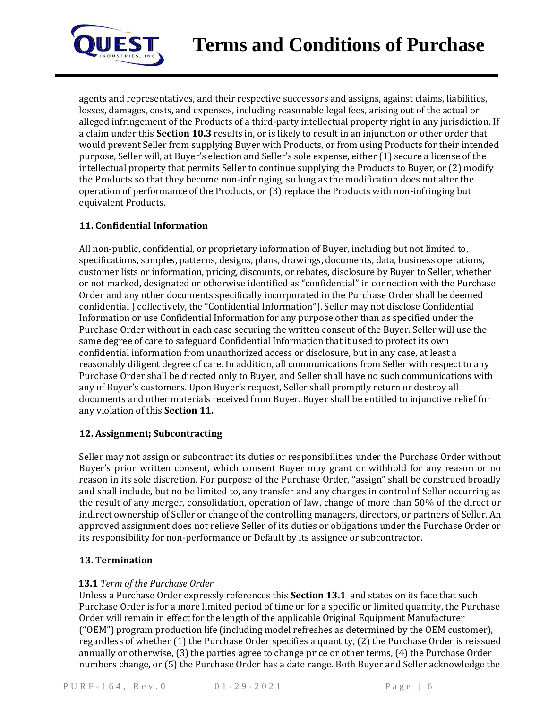

agents and representatives, and their respective successors and assigns, against claims, liabilities, losses, damages, costs, and expenses, including reasonable legal fees, arising out of the actual or alleged infringement of the Products of a third-party intellectual property right in any jurisdiction. If a claim under this **Section 10.3** results in, or is likely to result in an injunction or other order that would prevent Seller from supplying Buyer with Products, or from using Products for their intended purpose, Seller will, at Buyer's election and Seller's sole expense, either (1) secure a license of the intellectual property that permits Seller to continue supplying the Products to Buyer, or (2) modify the Products so that they become non-infringing, so long as the modification does not alter the operation of performance of the Products, or (3) replace the Products with non-infringing but equivalent Products.

## **11. Confidential Information**

All non-public, confidential, or proprietary information of Buyer, including but not limited to, specifications, samples, patterns, designs, plans, drawings, documents, data, business operations, customer lists or information, pricing, discounts, or rebates, disclosure by Buyer to Seller, whether or not marked, designated or otherwise identified as "confidential" in connection with the Purchase Order and any other documents specifically incorporated in the Purchase Order shall be deemed confidential ) collectively, the "Confidential Information"). Seller may not disclose Confidential Information or use Confidential Information for any purpose other than as specified under the Purchase Order without in each case securing the written consent of the Buyer. Seller will use the same degree of care to safeguard Confidential Information that it used to protect its own confidential information from unauthorized access or disclosure, but in any case, at least a reasonably diligent degree of care. In addition, all communications from Seller with respect to any Purchase Order shall be directed only to Buyer, and Seller shall have no such communications with any of Buyer's customers. Upon Buyer's request, Seller shall promptly return or destroy all documents and other materials received from Buyer. Buyer shall be entitled to injunctive relief for any violation of this **Section 11.**

# **12. Assignment; Subcontracting**

Seller may not assign or subcontract its duties or responsibilities under the Purchase Order without Buyer's prior written consent, which consent Buyer may grant or withhold for any reason or no reason in its sole discretion. For purpose of the Purchase Order, "assign" shall be construed broadly and shall include, but no be limited to, any transfer and any changes in control of Seller occurring as the result of any merger, consolidation, operation of law, change of more than 50% of the direct or indirect ownership of Seller or change of the controlling managers, directors, or partners of Seller. An approved assignment does not relieve Seller of its duties or obligations under the Purchase Order or its responsibility for non-performance or Default by its assignee or subcontractor.

## **13. Termination**

## **13.1** *Term of the Purchase Order*

Unless a Purchase Order expressly references this **Section 13.1** and states on its face that such Purchase Order is for a more limited period of time or for a specific or limited quantity, the Purchase Order will remain in effect for the length of the applicable Original Equipment Manufacturer ("OEM") program production life (including model refreshes as determined by the OEM customer), regardless of whether (1) the Purchase Order specifies a quantity, (2) the Purchase Order is reissued annually or otherwise, (3) the parties agree to change price or other terms, (4) the Purchase Order numbers change, or (5) the Purchase Order has a date range. Both Buyer and Seller acknowledge the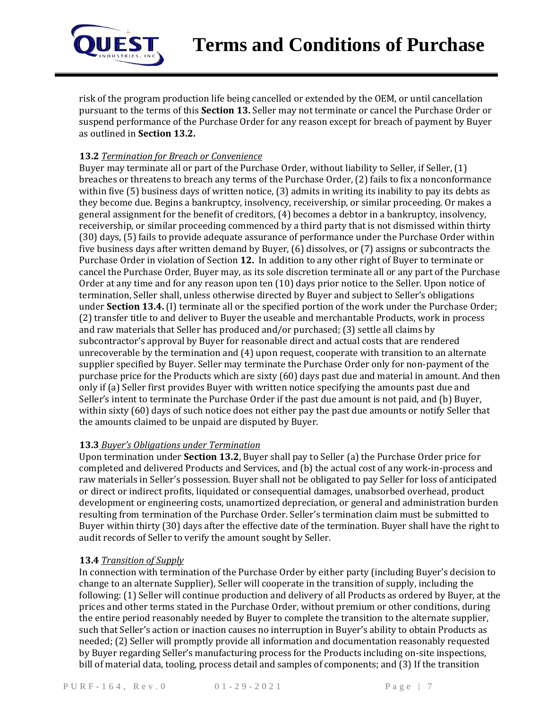

risk of the program production life being cancelled or extended by the OEM, or until cancellation pursuant to the terms of this **Section 13.** Seller may not terminate or cancel the Purchase Order or suspend performance of the Purchase Order for any reason except for breach of payment by Buyer as outlined in **Section 13.2.**

# **13.2** *Termination for Breach or Convenience*

Buyer may terminate all or part of the Purchase Order, without liability to Seller, if Seller, (1) breaches or threatens to breach any terms of the Purchase Order, (2) fails to fix a nonconformance within five (5) business days of written notice, (3) admits in writing its inability to pay its debts as they become due. Begins a bankruptcy, insolvency, receivership, or similar proceeding. Or makes a general assignment for the benefit of creditors, (4) becomes a debtor in a bankruptcy, insolvency, receivership, or similar proceeding commenced by a third party that is not dismissed within thirty (30) days, (5) fails to provide adequate assurance of performance under the Purchase Order within five business days after written demand by Buyer, (6) dissolves, or (7) assigns or subcontracts the Purchase Order in violation of Section **12.** In addition to any other right of Buyer to terminate or cancel the Purchase Order, Buyer may, as its sole discretion terminate all or any part of the Purchase Order at any time and for any reason upon ten (10) days prior notice to the Seller. Upon notice of termination, Seller shall, unless otherwise directed by Buyer and subject to Seller's obligations under **Section 13.4.** (I) terminate all or the specified portion of the work under the Purchase Order; (2) transfer title to and deliver to Buyer the useable and merchantable Products, work in process and raw materials that Seller has produced and/or purchased; (3) settle all claims by subcontractor's approval by Buyer for reasonable direct and actual costs that are rendered unrecoverable by the termination and (4) upon request, cooperate with transition to an alternate supplier specified by Buyer. Seller may terminate the Purchase Order only for non-payment of the purchase price for the Products which are sixty (60) days past due and material in amount. And then only if (a) Seller first provides Buyer with written notice specifying the amounts past due and Seller's intent to terminate the Purchase Order if the past due amount is not paid, and (b) Buyer, within sixty (60) days of such notice does not either pay the past due amounts or notify Seller that the amounts claimed to be unpaid are disputed by Buyer.

## **13.3** *Buyer's Obligations under Termination*

Upon termination under **Section 13.2**, Buyer shall pay to Seller (a) the Purchase Order price for completed and delivered Products and Services, and (b) the actual cost of any work-in-process and raw materials in Seller's possession. Buyer shall not be obligated to pay Seller for loss of anticipated or direct or indirect profits, liquidated or consequential damages, unabsorbed overhead, product development or engineering costs, unamortized depreciation, or general and administration burden resulting from termination of the Purchase Order. Seller's termination claim must be submitted to Buyer within thirty (30) days after the effective date of the termination. Buyer shall have the right to audit records of Seller to verify the amount sought by Seller.

## **13.4** *Transition of Supply*

In connection with termination of the Purchase Order by either party (including Buyer's decision to change to an alternate Supplier), Seller will cooperate in the transition of supply, including the following: (1) Seller will continue production and delivery of all Products as ordered by Buyer, at the prices and other terms stated in the Purchase Order, without premium or other conditions, during the entire period reasonably needed by Buyer to complete the transition to the alternate supplier, such that Seller's action or inaction causes no interruption in Buyer's ability to obtain Products as needed; (2) Seller will promptly provide all information and documentation reasonably requested by Buyer regarding Seller's manufacturing process for the Products including on-site inspections, bill of material data, tooling, process detail and samples of components; and (3) If the transition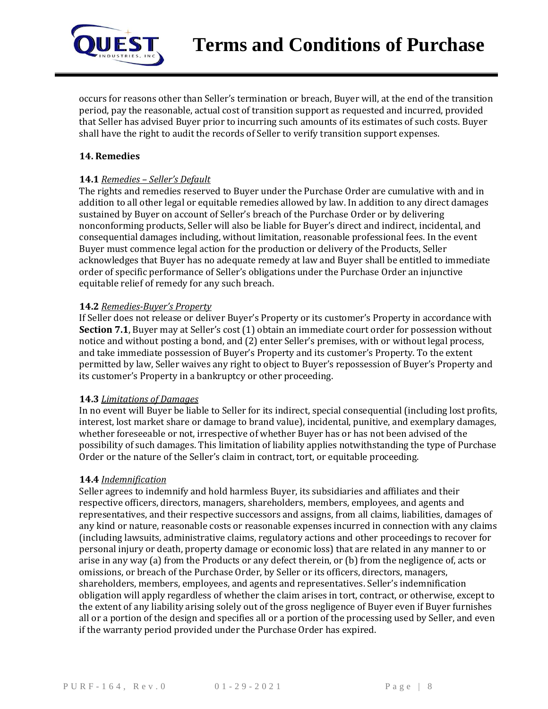

occurs for reasons other than Seller's termination or breach, Buyer will, at the end of the transition period, pay the reasonable, actual cost of transition support as requested and incurred, provided that Seller has advised Buyer prior to incurring such amounts of its estimates of such costs. Buyer shall have the right to audit the records of Seller to verify transition support expenses.

## **14. Remedies**

#### **14.1** *Remedies – Seller's Default*

The rights and remedies reserved to Buyer under the Purchase Order are cumulative with and in addition to all other legal or equitable remedies allowed by law. In addition to any direct damages sustained by Buyer on account of Seller's breach of the Purchase Order or by delivering nonconforming products, Seller will also be liable for Buyer's direct and indirect, incidental, and consequential damages including, without limitation, reasonable professional fees. In the event Buyer must commence legal action for the production or delivery of the Products, Seller acknowledges that Buyer has no adequate remedy at law and Buyer shall be entitled to immediate order of specific performance of Seller's obligations under the Purchase Order an injunctive equitable relief of remedy for any such breach.

#### **14.2** *Remedies-Buyer's Property*

If Seller does not release or deliver Buyer's Property or its customer's Property in accordance with **Section 7.1**, Buyer may at Seller's cost (1) obtain an immediate court order for possession without notice and without posting a bond, and (2) enter Seller's premises, with or without legal process, and take immediate possession of Buyer's Property and its customer's Property. To the extent permitted by law, Seller waives any right to object to Buyer's repossession of Buyer's Property and its customer's Property in a bankruptcy or other proceeding.

#### **14.3** *Limitations of Damages*

In no event will Buyer be liable to Seller for its indirect, special consequential (including lost profits, interest, lost market share or damage to brand value), incidental, punitive, and exemplary damages, whether foreseeable or not, irrespective of whether Buyer has or has not been advised of the possibility of such damages. This limitation of liability applies notwithstanding the type of Purchase Order or the nature of the Seller's claim in contract, tort, or equitable proceeding.

#### **14.4** *Indemnification*

Seller agrees to indemnify and hold harmless Buyer, its subsidiaries and affiliates and their respective officers, directors, managers, shareholders, members, employees, and agents and representatives, and their respective successors and assigns, from all claims, liabilities, damages of any kind or nature, reasonable costs or reasonable expenses incurred in connection with any claims (including lawsuits, administrative claims, regulatory actions and other proceedings to recover for personal injury or death, property damage or economic loss) that are related in any manner to or arise in any way (a) from the Products or any defect therein, or (b) from the negligence of, acts or omissions, or breach of the Purchase Order, by Seller or its officers, directors, managers, shareholders, members, employees, and agents and representatives. Seller's indemnification obligation will apply regardless of whether the claim arises in tort, contract, or otherwise, except to the extent of any liability arising solely out of the gross negligence of Buyer even if Buyer furnishes all or a portion of the design and specifies all or a portion of the processing used by Seller, and even if the warranty period provided under the Purchase Order has expired.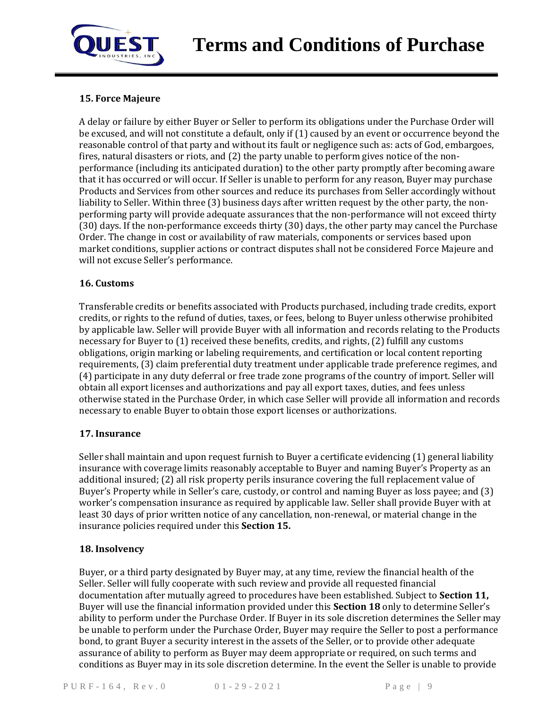

# **15. Force Majeure**

A delay or failure by either Buyer or Seller to perform its obligations under the Purchase Order will be excused, and will not constitute a default, only if (1) caused by an event or occurrence beyond the reasonable control of that party and without its fault or negligence such as: acts of God, embargoes, fires, natural disasters or riots, and (2) the party unable to perform gives notice of the nonperformance (including its anticipated duration) to the other party promptly after becoming aware that it has occurred or will occur. If Seller is unable to perform for any reason, Buyer may purchase Products and Services from other sources and reduce its purchases from Seller accordingly without liability to Seller. Within three (3) business days after written request by the other party, the nonperforming party will provide adequate assurances that the non-performance will not exceed thirty (30) days. If the non-performance exceeds thirty (30) days, the other party may cancel the Purchase Order. The change in cost or availability of raw materials, components or services based upon market conditions, supplier actions or contract disputes shall not be considered Force Majeure and will not excuse Seller's performance.

## **16. Customs**

Transferable credits or benefits associated with Products purchased, including trade credits, export credits, or rights to the refund of duties, taxes, or fees, belong to Buyer unless otherwise prohibited by applicable law. Seller will provide Buyer with all information and records relating to the Products necessary for Buyer to (1) received these benefits, credits, and rights, (2) fulfill any customs obligations, origin marking or labeling requirements, and certification or local content reporting requirements, (3) claim preferential duty treatment under applicable trade preference regimes, and (4) participate in any duty deferral or free trade zone programs of the country of import. Seller will obtain all export licenses and authorizations and pay all export taxes, duties, and fees unless otherwise stated in the Purchase Order, in which case Seller will provide all information and records necessary to enable Buyer to obtain those export licenses or authorizations.

## **17. Insurance**

Seller shall maintain and upon request furnish to Buyer a certificate evidencing (1) general liability insurance with coverage limits reasonably acceptable to Buyer and naming Buyer's Property as an additional insured; (2) all risk property perils insurance covering the full replacement value of Buyer's Property while in Seller's care, custody, or control and naming Buyer as loss payee; and (3) worker's compensation insurance as required by applicable law. Seller shall provide Buyer with at least 30 days of prior written notice of any cancellation, non-renewal, or material change in the insurance policies required under this **Section 15.**

## **18. Insolvency**

Buyer, or a third party designated by Buyer may, at any time, review the financial health of the Seller. Seller will fully cooperate with such review and provide all requested financial documentation after mutually agreed to procedures have been established. Subject to **Section 11,**  Buyer will use the financial information provided under this **Section 18** only to determine Seller's ability to perform under the Purchase Order. If Buyer in its sole discretion determines the Seller may be unable to perform under the Purchase Order, Buyer may require the Seller to post a performance bond, to grant Buyer a security interest in the assets of the Seller, or to provide other adequate assurance of ability to perform as Buyer may deem appropriate or required, on such terms and conditions as Buyer may in its sole discretion determine. In the event the Seller is unable to provide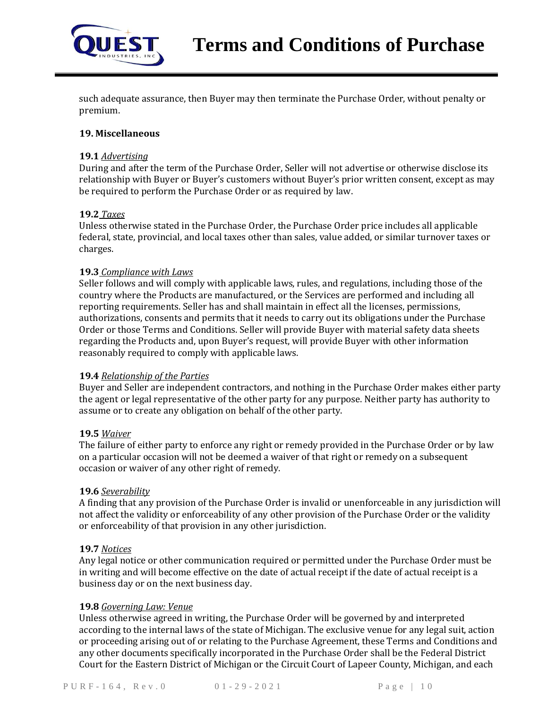

such adequate assurance, then Buyer may then terminate the Purchase Order, without penalty or premium.

#### **19. Miscellaneous**

#### **19.1** *Advertising*

During and after the term of the Purchase Order, Seller will not advertise or otherwise disclose its relationship with Buyer or Buyer's customers without Buyer's prior written consent, except as may be required to perform the Purchase Order or as required by law.

#### **19.2** *Taxes*

Unless otherwise stated in the Purchase Order, the Purchase Order price includes all applicable federal, state, provincial, and local taxes other than sales, value added, or similar turnover taxes or charges.

#### **19.3** *Compliance with Laws*

Seller follows and will comply with applicable laws, rules, and regulations, including those of the country where the Products are manufactured, or the Services are performed and including all reporting requirements. Seller has and shall maintain in effect all the licenses, permissions, authorizations, consents and permits that it needs to carry out its obligations under the Purchase Order or those Terms and Conditions. Seller will provide Buyer with material safety data sheets regarding the Products and, upon Buyer's request, will provide Buyer with other information reasonably required to comply with applicable laws.

#### **19.4** *Relationship of the Parties*

Buyer and Seller are independent contractors, and nothing in the Purchase Order makes either party the agent or legal representative of the other party for any purpose. Neither party has authority to assume or to create any obligation on behalf of the other party.

#### **19.5** *Waiver*

The failure of either party to enforce any right or remedy provided in the Purchase Order or by law on a particular occasion will not be deemed a waiver of that right or remedy on a subsequent occasion or waiver of any other right of remedy.

#### **19.6** *Severability*

A finding that any provision of the Purchase Order is invalid or unenforceable in any jurisdiction will not affect the validity or enforceability of any other provision of the Purchase Order or the validity or enforceability of that provision in any other jurisdiction.

#### **19.7** *Notices*

Any legal notice or other communication required or permitted under the Purchase Order must be in writing and will become effective on the date of actual receipt if the date of actual receipt is a business day or on the next business day.

#### **19.8** *Governing Law: Venue*

Unless otherwise agreed in writing, the Purchase Order will be governed by and interpreted according to the internal laws of the state of Michigan. The exclusive venue for any legal suit, action or proceeding arising out of or relating to the Purchase Agreement, these Terms and Conditions and any other documents specifically incorporated in the Purchase Order shall be the Federal District Court for the Eastern District of Michigan or the Circuit Court of Lapeer County, Michigan, and each